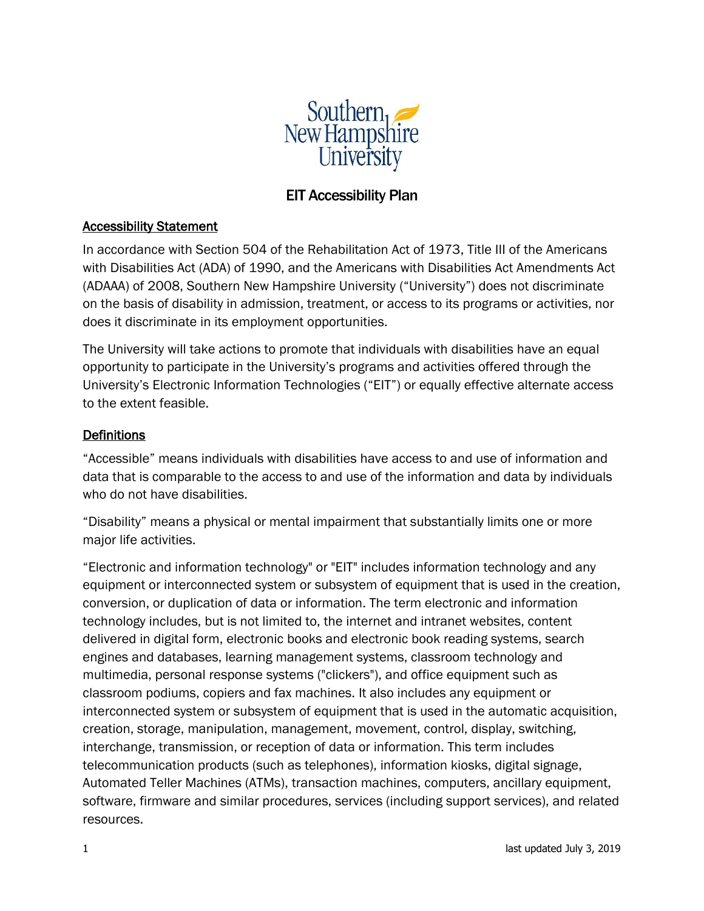

# EIT Accessibility Plan

#### Accessibility Statement

In accordance with Section 504 of the Rehabilitation Act of 1973, Title III of the Americans with Disabilities Act (ADA) of 1990, and the Americans with Disabilities Act Amendments Act (ADAAA) of 2008, Southern New Hampshire University ("University") does not discriminate on the basis of disability in admission, treatment, or access to its programs or activities, nor does it discriminate in its employment opportunities.

The University will take actions to promote that individuals with disabilities have an equal opportunity to participate in the University's programs and activities offered through the University's Electronic Information Technologies ("EIT") or equally effective alternate access to the extent feasible.

### **Definitions**

"Accessible" means individuals with disabilities have access to and use of information and data that is comparable to the access to and use of the information and data by individuals who do not have disabilities.

"Disability" means a physical or mental impairment that substantially limits one or more major life activities.

"Electronic and information technology" or "EIT" includes information technology and any equipment or interconnected system or subsystem of equipment that is used in the creation, conversion, or duplication of data or information. The term electronic and information technology includes, but is not limited to, the internet and intranet websites, content delivered in digital form, electronic books and electronic book reading systems, search engines and databases, learning management systems, classroom technology and multimedia, personal response systems ("clickers"), and office equipment such as classroom podiums, copiers and fax machines. It also includes any equipment or interconnected system or subsystem of equipment that is used in the automatic acquisition, creation, storage, manipulation, management, movement, control, display, switching, interchange, transmission, or reception of data or information. This term includes telecommunication products (such as telephones), information kiosks, digital signage, Automated Teller Machines (ATMs), transaction machines, computers, ancillary equipment, software, firmware and similar procedures, services (including support services), and related resources.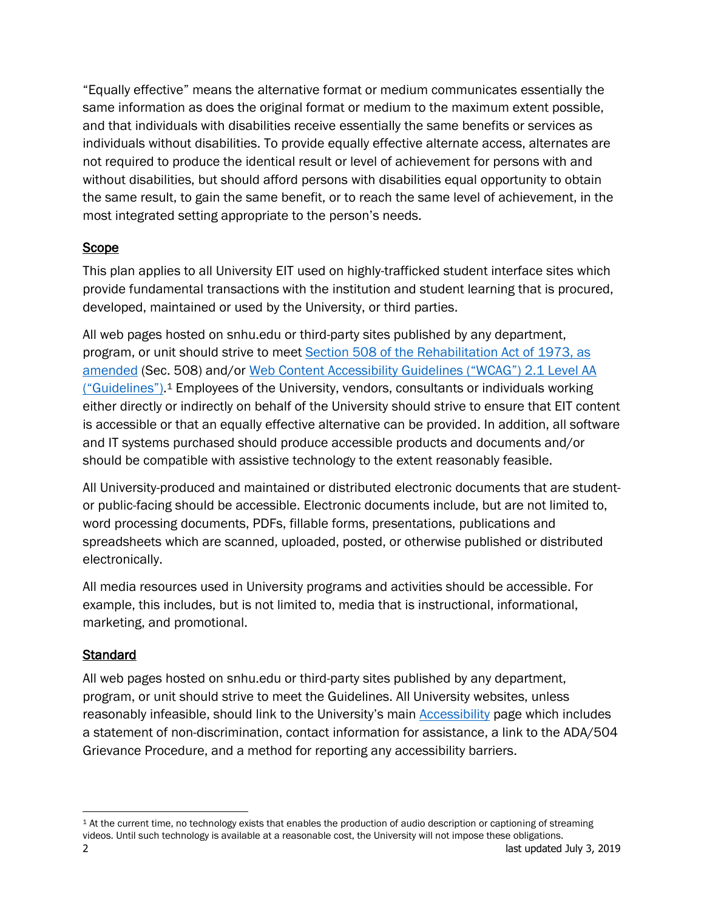"Equally effective" means the alternative format or medium communicates essentially the same information as does the original format or medium to the maximum extent possible, and that individuals with disabilities receive essentially the same benefits or services as individuals without disabilities. To provide equally effective alternate access, alternates are not required to produce the identical result or level of achievement for persons with and without disabilities, but should afford persons with disabilities equal opportunity to obtain the same result, to gain the same benefit, or to reach the same level of achievement, in the most integrated setting appropriate to the person's needs.

# Scope

This plan applies to all University EIT used on highly-trafficked student interface sites which provide fundamental transactions with the institution and student learning that is procured, developed, maintained or used by the University, or third parties.

All web pages hosted on snhu.edu or third-party sites published by any department, program, or unit should strive to meet [Section 508 of the Rehabilitation Act of 1973, as](https://www.access-board.gov/guidelines-and-standards/communications-and-it/about-the-ict-refresh/final-rule)  [amended](https://www.access-board.gov/guidelines-and-standards/communications-and-it/about-the-ict-refresh/final-rule) (Sec. 508) and/or Web Content Accessibility [Guidelines \("WCAG"\) 2.1 Level AA](https://www.w3.org/TR/WCAG21/) ("Guidelines").<sup>1</sup> Employees of the University, vendors, consultants or individuals working either directly or indirectly on behalf of the University should strive to ensure that EIT content is accessible or that an equally effective alternative can be provided. In addition, all software and IT systems purchased should produce accessible products and documents and/or should be compatible with assistive technology to the extent reasonably feasible.

All University-produced and maintained or distributed electronic documents that are studentor public-facing should be accessible. Electronic documents include, but are not limited to, word processing documents, PDFs, fillable forms, presentations, publications and spreadsheets which are scanned, uploaded, posted, or otherwise published or distributed electronically.

All media resources used in University programs and activities should be accessible. For example, this includes, but is not limited to, media that is instructional, informational, marketing, and promotional.

# Standard

All web pages hosted on snhu.edu or third-party sites published by any department, program, or unit should strive to meet the Guidelines. All University websites, unless reasonably infeasible, should link to the University's main **[Accessibility](https://www.snhu.edu/about-us/accessibility)** page which includes a statement of non-discrimination, contact information for assistance, a link to the ADA/504 Grievance Procedure, and a method for reporting any accessibility barriers.

 $\overline{a}$ 

<sup>2</sup> last updated July 3, 2019 <sup>1</sup> At the current time, no technology exists that enables the production of audio description or captioning of streaming videos. Until such technology is available at a reasonable cost, the University will not impose these obligations.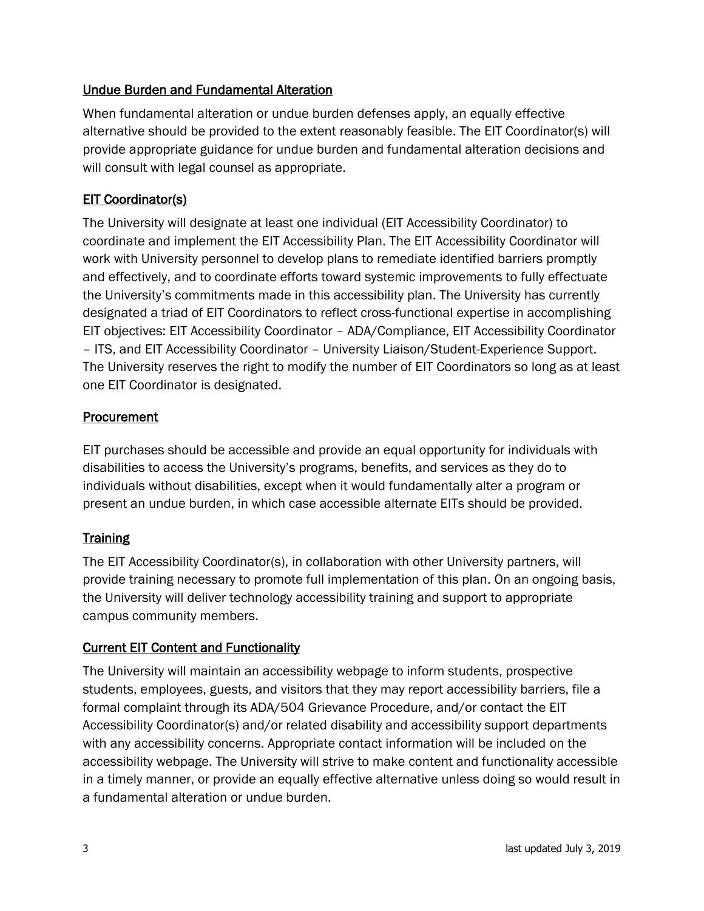# Undue Burden and Fundamental Alteration

When fundamental alteration or undue burden defenses apply, an equally effective alternative should be provided to the extent reasonably feasible. The EIT Coordinator(s) will provide appropriate guidance for undue burden and fundamental alteration decisions and will consult with legal counsel as appropriate.

## **EIT Coordinator(s)**

The University will designate at least one individual (EIT Accessibility Coordinator) to coordinate and implement the EIT Accessibility Plan. The EIT Accessibility Coordinator will work with University personnel to develop plans to remediate identified barriers promptly and effectively, and to coordinate efforts toward systemic improvements to fully effectuate the University's commitments made in this accessibility plan. The University has currently designated a triad of EIT Coordinators to reflect cross-functional expertise in accomplishing EIT objectives: EIT Accessibility Coordinator – ADA/Compliance, EIT Accessibility Coordinator – ITS, and EIT Accessibility Coordinator – University Liaison/Student-Experience Support. The University reserves the right to modify the number of EIT Coordinators so long as at least one EIT Coordinator is designated.

### **Procurement**

EIT purchases should be accessible and provide an equal opportunity for individuals with disabilities to access the University's programs, benefits, and services as they do to individuals without disabilities, except when it would fundamentally alter a program or present an undue burden, in which case accessible alternate EITs should be provided.

# **Training**

The EIT Accessibility Coordinator(s), in collaboration with other University partners, will provide training necessary to promote full implementation of this plan. On an ongoing basis, the University will deliver technology accessibility training and support to appropriate campus community members.

### Current EIT Content and Functionality

The University will maintain an accessibility webpage to inform students, prospective students, employees, guests, and visitors that they may report accessibility barriers, file a formal complaint through its ADA/504 Grievance Procedure, and/or contact the EIT Accessibility Coordinator(s) and/or related disability and accessibility support departments with any accessibility concerns. Appropriate contact information will be included on the accessibility webpage. The University will strive to make content and functionality accessible in a timely manner, or provide an equally effective alternative unless doing so would result in a fundamental alteration or undue burden.